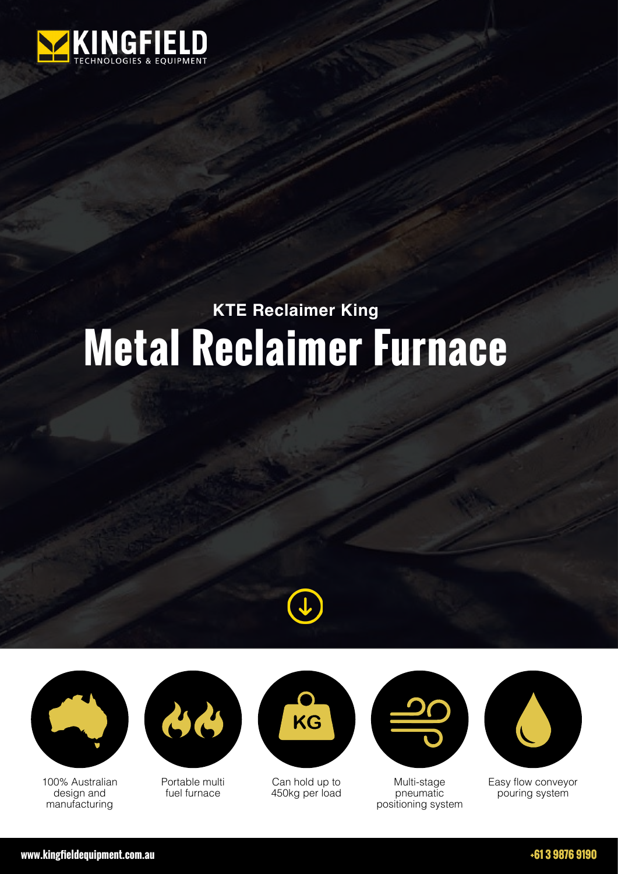

## **KTE Reclaimer King Metal Reclaimer Furnace**





100% Australian design and manufacturing



Portable multi fuel furnace



Can hold up to 450kg per load



Multi-stage pneumatic positioning system



Easy flow conveyor pouring system